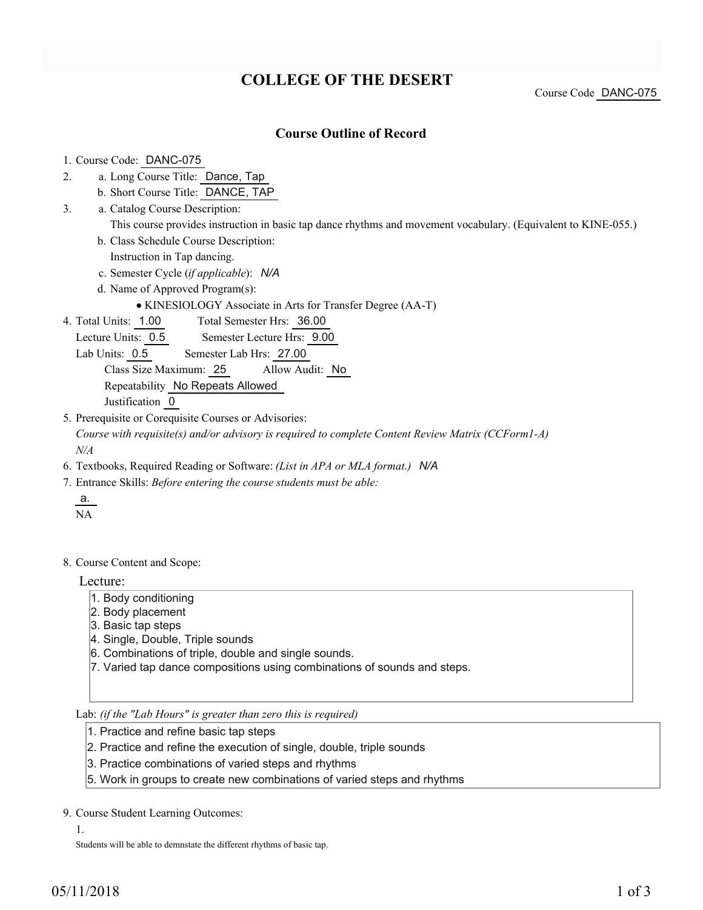## **COLLEGE OF THE DESERT**

Course Code DANC-075

## **Course Outline of Record**

1. Course Code: DANC-075

- a. Long Course Title: Dance, Tap 2.
	- b. Short Course Title: DANCE, TAP
- Catalog Course Description: a. 3.
	- This course provides instruction in basic tap dance rhythms and movement vocabulary. (Equivalent to KINE-055.)
	- b. Class Schedule Course Description:
	- Instruction in Tap dancing.
	- c. Semester Cycle (*if applicable*): *N/A*
	- d. Name of Approved Program(s):
		- KINESIOLOGY Associate in Arts for Transfer Degree (AA-T)
- Total Semester Hrs: 36.00 4. Total Units: 1.00
	- Lecture Units: 0.5 Semester Lecture Hrs: 9.00
	- Lab Units: 0.5 Semester Lab Hrs: 27.00
		- Class Size Maximum: 25 Allow Audit: No

Repeatability No Repeats Allowed

Justification 0

- 5. Prerequisite or Corequisite Courses or Advisories: *Course with requisite(s) and/or advisory is required to complete Content Review Matrix (CCForm1-A) N/A*
- 6. Textbooks, Required Reading or Software: *(List in APA or MLA format.) N/A*
- Entrance Skills: *Before entering the course students must be able:* 7.
	- a. NA
- 8. Course Content and Scope:

Lecture:

- 1. Body conditioning
- 2. Body placement
- 3. Basic tap steps
- 4. Single, Double, Triple sounds
- 6. Combinations of triple, double and single sounds.
- 7. Varied tap dance compositions using combinations of sounds and steps.

Lab: *(if the "Lab Hours" is greater than zero this is required)*

- 1. Practice and refine basic tap steps
- 2. Practice and refine the execution of single, double, triple sounds
- 3. Practice combinations of varied steps and rhythms
- 5. Work in groups to create new combinations of varied steps and rhythms

9. Course Student Learning Outcomes:

1.

Students will be able to demnstate the different rhythms of basic tap.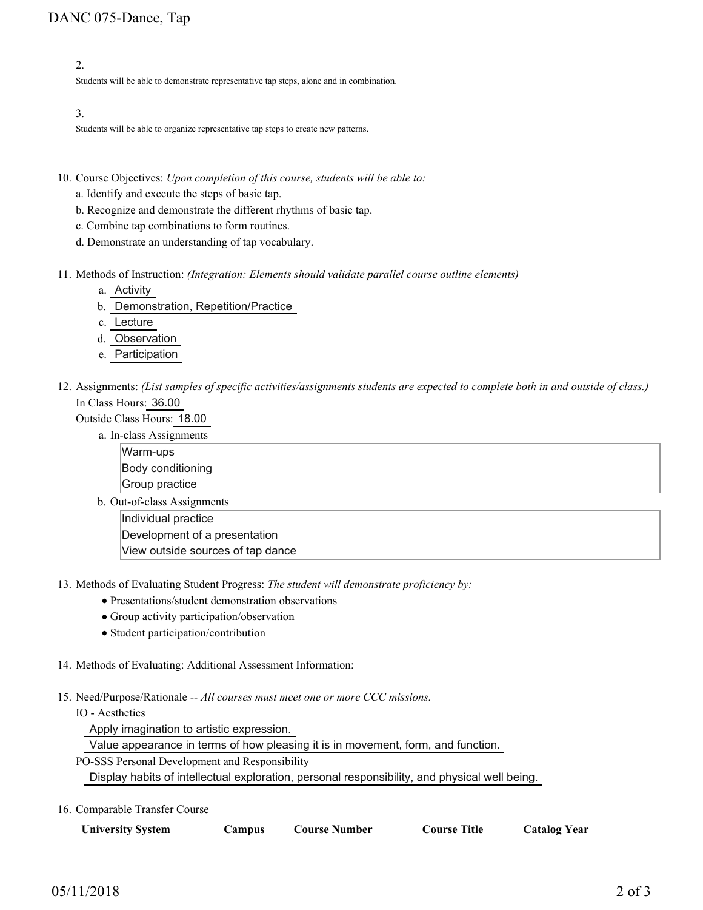2.

Students will be able to demonstrate representative tap steps, alone and in combination.

3.

Students will be able to organize representative tap steps to create new patterns.

- 10. Course Objectives: Upon completion of this course, students will be able to:
	- a. Identify and execute the steps of basic tap.
	- b. Recognize and demonstrate the different rhythms of basic tap.
	- c. Combine tap combinations to form routines.
	- d. Demonstrate an understanding of tap vocabulary.
- Methods of Instruction: *(Integration: Elements should validate parallel course outline elements)* 11.
	- a. Activity
	- b. Demonstration, Repetition/Practice
	- c. Lecture
	- d. Observation
	- e. Participation
- 12. Assignments: (List samples of specific activities/assignments students are expected to complete both in and outside of class.) In Class Hours: 36.00
	- Outside Class Hours: 18.00
		- a. In-class Assignments
			- Warm-ups Body conditioning
			- Group practice
		- b. Out-of-class Assignments

Individual practice Development of a presentation

View outside sources of tap dance

13. Methods of Evaluating Student Progress: The student will demonstrate proficiency by:

- Presentations/student demonstration observations
- Group activity participation/observation
- Student participation/contribution
- 14. Methods of Evaluating: Additional Assessment Information:
- 15. Need/Purpose/Rationale -- All courses must meet one or more CCC missions.
	- IO Aesthetics

Apply imagination to artistic expression.

Value appearance in terms of how pleasing it is in movement, form, and function.

PO-SSS Personal Development and Responsibility

Display habits of intellectual exploration, personal responsibility, and physical well being.

16. Comparable Transfer Course

| <b>University System</b> | <b>Campus</b> | <b>Course Number</b> | Course Title | <b>Catalog Year</b> |
|--------------------------|---------------|----------------------|--------------|---------------------|
|--------------------------|---------------|----------------------|--------------|---------------------|